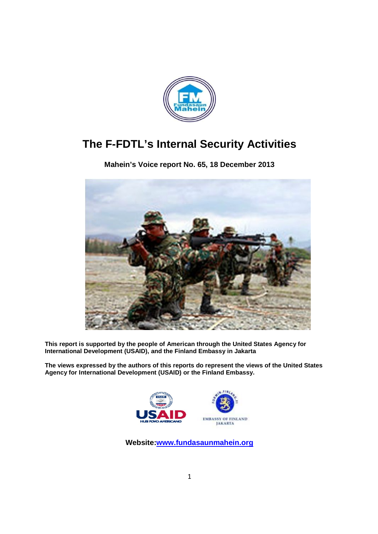

# **The F-FDTL's Internal Security Activities**

**Mahein's Voice 's report No. 65, 18 December 2013**



**This report is supported by the people of American t through the United States Agency for International Development (USAID), and the Finland Embassy in Jakarta**

The views expressed by the authors of this reports do represent the views of the United States **Agency for International Development (USAID) or the Finland Embassy.**



Website:www.fundasaunmahein.org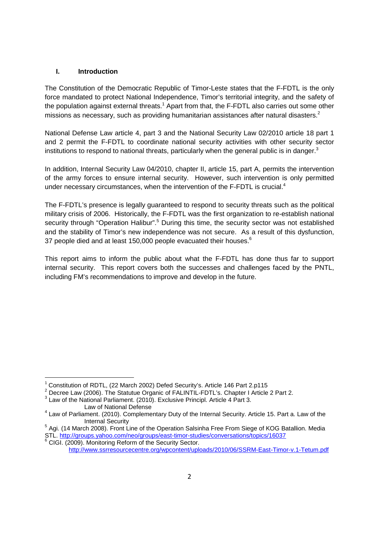#### **I. Introduction**

The Constitution of the Democratic Republic of Timor-Leste states that the F-FDTL is the only force mandated to protect National Independence, Timor's territorial integrity, and the safety of the population against external threats.<sup>1</sup> Apart from that, the F-FDTL also carries out some other missions as necessary, such as providing humanitarian assistances after natural disasters.<sup>2</sup>

National Defense Law article 4, part 3 and the National Security Law 02/2010 article 18 part 1 and 2 permit the F-FDTL to coordinate national security activities with other security sector institutions to respond to national threats, particularly when the general public is in danger. $^3$ 

In addition, Internal Security Law 04/2010, chapter II, article 15, part A, permits the intervention of the army forces to ensure internal security. However, such intervention is only permitted under necessary circumstances, when the intervention of the F-FDTL is crucial.<sup>4</sup>

The F-FDTL's presence is legally guaranteed to respond to security threats such as the political military crisis of 2006. Historically, the F-FDTL was the first organization to re-establish national security through "Operation Halibur".<sup>5</sup> During this time, the security sector was not established and the stability of Timor's new independence was not secure. As a result of this dysfunction, 37 people died and at least 150,000 people evacuated their houses. $^6$ 

This report aims to inform the public about what the F-FDTL has done thus far to support internal security. This report covers both the successes and challenges faced by the PNTL, including FM's recommendations to improve and develop in the future.

<sup>&</sup>lt;sup>1</sup> Constitution of RDTL, (22 March 2002) Defed Security's. Article 146 Part 2.p115

<sup>&</sup>lt;sup>2</sup> Decree Law (2006). The Statutue Organic of FALINTIL-FDTL's. Chapter I Article 2 Part 2.  $^3$  Law of the National Parliament. (2010). Exclusive Principl. Article 4 Part 3.

Law of National Defense<br>4 Law of Parliament. (2010). Complementary Duty of the Internal Security. Article 15. Part a. Law of the<br>11. Internal Security

<sup>&</sup>lt;sup>5</sup> Agi. (14 March 2008). Front Line of the Operation Salsinha Free From Siege of KOG Batallion. Media STL. http://groups.yahoo.com/neo/groups/east-timor-studies/conversations/topics/16037<br><sup>6</sup> CIGI. (2009). Monitoring Reform of the Security Sector.

http://www.ssrresourcecentre.org/wpcontent/uploads/2010/06/SSRM-East-Timor-v.1-Tetum.pdf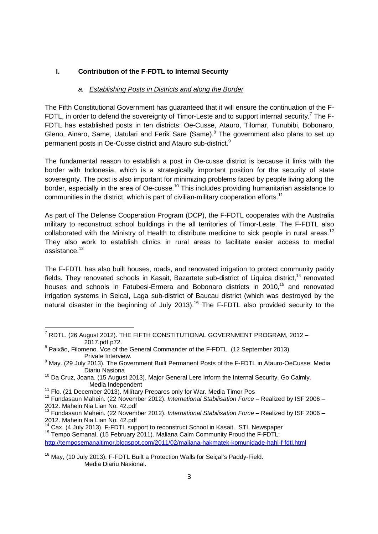#### **I. Contribution of the F-FDTL to Internal Security**

#### *a. Establishing Posts in Districts and along the Border*

The Fifth Constitutional Government has guaranteed that it will ensure the continuation of the F-FDTL, in order to defend the sovereignty of Timor-Leste and to support internal security.<sup>7</sup> The F-FDTL has established posts in ten districts: Oe-Cusse, Atauro, Tilomar, Tunubibi, Bobonaro, Gleno, Ainaro, Same, Uatulari and Ferik Sare (Same).<sup>8</sup> The government also plans to set up permanent posts in Oe-Cusse district and Atauro sub-district.<sup>9</sup>

The fundamental reason to establish a post in Oe-cusse district is because it links with the border with Indonesia, which is a strategically important position for the security of state sovereignty. The post is also important for minimizing problems faced by people living along the border, especially in the area of Oe-cusse.<sup>10</sup> This includes providing humanitarian assistance to communities in the district, which is part of civilian-military cooperation efforts.<sup>11</sup>

As part of The Defense Cooperation Program (DCP), the F-FDTL cooperates with the Australia military to reconstruct school buildings in the all territories of Timor-Leste. The F-FDTL also collaborated with the Ministry of Health to distribute medicine to sick people in rural areas.<sup>12</sup> They also work to establish clinics in rural areas to facilitate easier access to medial assistance.<sup>13</sup>

The F-FDTL has also built houses, roads, and renovated irrigation to protect community paddy fields. They renovated schools in Kasait, Bazartete sub-district of Liquica district,<sup>14</sup> renovated houses and schools in Fatubesi-Ermera and Bobonaro districts in 2010,<sup>15</sup> and renovated irrigation systems in Seical, Laga sub-district of Baucau district (which was destroyed by the natural disaster in the beginning of July 2013).<sup>16</sup> The F-FDTL also provided security to the

http://temposemanaltimor.blogspot.com/2011/02/maliana-hakmatek-komunidade-hahi-f-fdtl.html

 $^7$  RDTL. (26 August 2012). THE FIFTH CONSTITUTIONAL GOVERNMENT PROGRAM, 2012 -<sup>8</sup> Paixão, Filomeno. Vce of the General Commander of the F-FDTL. (12 September 2013).

Private Interview.

<sup>&</sup>lt;sup>9</sup> May. (29 July 2013). The Government Built Permanent Posts of the F-FDTL in Atauro-OeCusse. Media Diariu Nasiona

<sup>&</sup>lt;sup>10</sup> Da Cruz, Joana. (15 August 2013). Major General Lere Inform the Internal Security, Go Calmly.<br>Media Independent

<sup>&</sup>lt;sup>11</sup> Flo. (21 December 2013). Milítary Prepares only for War. Media Timor Pos<br><sup>12</sup> Fundasaun Mahein. (22 November 2012). *International Stabilisation Force* – Realized by ISF 2006 –<br>2012. Mahein Nia Lian No. 42.pdf

<sup>&</sup>lt;sup>13</sup> Fundasaun Mahein. (22 November 2012). *International Stabilisation Force* – Realized by ISF 2006 –<br>2012. Mahein Nia Lian No. 42.pdf

<sup>&</sup>lt;sup>14</sup> Cax, (4 July 2013). F-FDTL support to reconstruct School in Kasait. STL Newspaper <sup>15</sup> Tempo Semanal, (15 February 2011). Maliana Calm Community Proud the F-FDTL:

<sup>&</sup>lt;sup>16</sup> May, (10 July 2013). F-FDTL Built a Protection Walls for Seical's Paddy-Field. Media Diariu Nasional.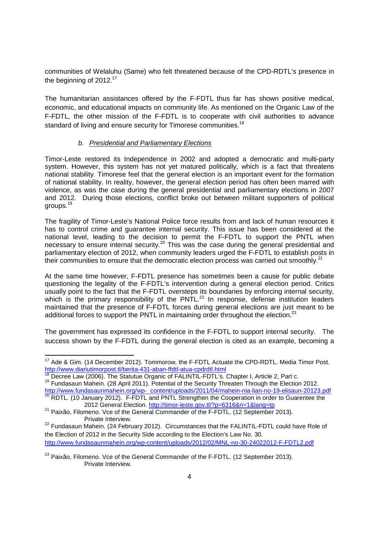communities of Welaluhu (Same) who felt threatened because of the CPD-RDTL's presence in the beginning of 2012.<sup>17</sup>

The humanitarian assistances offered by the F-FDTL thus far has shown positive medical, economic, and educational impacts on community life. As mentioned on the Organic Law of the F-FDTL, the other mission of the F-FDTL is to cooperate with civil authorities to advance standard of living and ensure security for Timorese communities.<sup>18</sup>

## *b. Presidential and Parliamentary Elections*

Timor-Leste restored its Independence in 2002 and adopted a democratic and multi-party system. However, this system has not yet matured politically, which is a fact that threatens national stability. Timorese feel that the general election is an important event for the formation of national stability. In reality, however, the general election period has often been marred with violence, as was the case during the general presidential and parliamentary elections in 2007 and 2012. During those elections, conflict broke out between militant supporters of political groups.<sup>19</sup>

The fragility of Timor-Leste's National Police force results from and lack of human resources it has to control crime and guarantee internal security. This issue has been considered at the national level, leading to the decision to permit the F-FDTL to support the PNTL when necessary to ensure internal security.<sup>20</sup> This was the case during the general presidential and parliamentary election of 2012, when community leaders urged the F-FDTL to establish posts in their communities to ensure that the democratic election process was carried out smoothly.<sup>21</sup>

At the same time however, F-FDTL presence has sometimes been a cause for public debate questioning the legality of the F-FDTL's intervention during a general election period. Critics usually point to the fact that the F-FDTL oversteps its boundaries by enforcing internal security, which is the primary responsibility of the PNTL. $^{22}$  In response, defense institution leaders maintained that the presence of F-FDTL forces during general elections are just meant to be additional forces to support the PNTL in maintaining order throughout the election.<sup>23</sup>

The government has expressed its confidence in the F-FDTL to support internal security. The success shown by the F-FDTL during the general election is cited as an example, becoming a

<sup>&</sup>lt;sup>17</sup> Ade & Gim. (14 December 2012). Tommorow, the F-FDTL Actuate the CPD-RDTL. Media Timor Post.<br>http://www.diariutimorpost.tl/berita-431-aban-ffdtl-atua-cpdrdtl.html

<sup>&</sup>lt;sup>18</sup> Decree Law (2006). The Statutue Organic of FALINTIL-FDTL's. Chapter I, Article 2, Part c.<br><sup>19</sup> Fundasaun Mahein. (28 April 2011). Potential of the Security Threaten Through the Election 2012. http://www.fundasaunmahein.org/wp- content/uploads/2011/04/mahein-nia-lian-no-19-elisaun-20123.pdf<br><sup>20</sup> RDTL. (10 January 2012). F-FDTL and PNTL Strengthen the Cooperation in order to Guarentee the

<sup>2012</sup> General Election. http://timor-leste.gov.tl/?p=6316&n=1&lang=tp<br><sup>21</sup> Paixão, Filomeno. Vce of the General Commander of the F-FDTL. (12 September 2013).

Private Interview.<br><sup>22</sup> Fundasaun Mahein. (24 February 2012). Circumstances that the FALINTIL-FDTL could have Role of the Election of 2012 in the Security Side according to the Election's Law No. 30. http://www.fundasaunmahein.org/wp-content/uploads/2012/02/MNL-no-30-24022012-F-FDTL2.pdf

<sup>&</sup>lt;sup>23</sup> Paixão, Filomeno. Vce of the General Commander of the F-FDTL. (12 September 2013). Private Interview.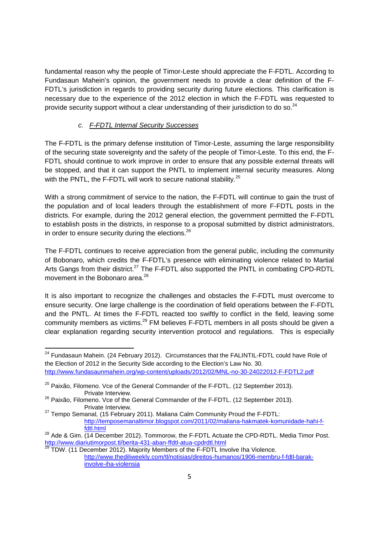fundamental reason why the people of Timor-Leste should appreciate the F-FDTL. According to Fundasaun Mahein's opinion, the government needs to provide a clear definition of the F-FDTL's jurisdiction in regards to providing security during future elections. This clarification is necessary due to the experience of the 2012 election in which the F-FDTL was requested to provide security support without a clear understanding of their jurisdiction to do so.<sup>24</sup>

## *c. F-FDTL Internal Security Successes*

The F-FDTL is the primary defense institution of Timor-Leste, assuming the large responsibility of the securing state sovereignty and the safety of the people of Timor-Leste. To this end, the F-FDTL should continue to work improve in order to ensure that any possible external threats will be stopped, and that it can support the PNTL to implement internal security measures. Along with the PNTL, the F-FDTL will work to secure national stability.<sup>25</sup>

With a strong commitment of service to the nation, the F-FDTL will continue to gain the trust of the population and of local leaders through the establishment of more F-FDTL posts in the districts. For example, during the 2012 general election, the government permitted the F-FDTL to establish posts in the districts, in response to a proposal submitted by district administrators, in order to ensure security during the elections.<sup>26</sup>

The F-FDTL continues to receive appreciation from the general public, including the community of Bobonaro, which credits the F-FDTL's presence with eliminating violence related to Martial Arts Gangs from their district.<sup>27</sup> The F-FDTL also supported the PNTL in combating CPD-RDTL movement in the Bobonaro area.<sup>28</sup>

It is also important to recognize the challenges and obstacles the F-FDTL must overcome to ensure security. One large challenge is the coordination of field operations between the F-FDTL and the PNTL. At times the F-FDTL reacted too swiftly to conflict in the field, leaving some community members as victims.<sup>29</sup> FM believes F-FDTL members in all posts should be given a clear explanation regarding security intervention protocol and regulations. This is especially

<sup>&</sup>lt;sup>24</sup> Fundasaun Mahein. (24 February 2012). Circumstances that the FALINTIL-FDTL could have Role of the Election of 2012 in the Security Side according to the Election's Law No. 30. http://www.fundasaunmahein.org/wp-content/uploads/2012/02/MNL-no-30-24022012-F-FDTL2.pdf

<sup>&</sup>lt;sup>25</sup> Paixão, Filomeno. Vce of the General Commander of the F-FDTL. (12 September 2013). Private Interview.

<sup>&</sup>lt;sup>26</sup> Paixão, Filomeno. Vce of the General Commander of the F-FDTL. (12 September 2013). Private Interview.<br><sup>27</sup> Tempo Semanal, (15 February 2011). Maliana Calm Community Proud the F-FDTL:

http://temposemanaltimor.blogspot.com/2011/02/maliana-hakmatek-komunidade-hahi-ffdtl.html

 $28$  Ade & Gim.  $\overline{(14 \text{ December 2012})}$ . Tommorow, the F-FDTL Actuate the CPD-RDTL. Media Timor Post. http://www.diariutimorpost.tl/berita-431-aban-ffdtl-atua-cpdrdtl.html<br><sup>29</sup> TDW. (11 December 2012). Majority Members of the F-FDTL Involve Iha Violence.

http://www.thediliweekly.com/tl/notisias/direitos-humanos/1906-membru-f-fdtl-barakinvolve-iha-violensia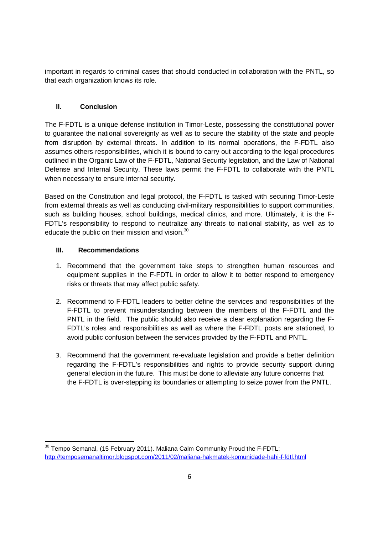important in regards to criminal cases that should conducted in collaboration with the PNTL, so that each organization knows its role.

# **II. Conclusion**

The F-FDTL is a unique defense institution in Timor-Leste, possessing the constitutional power to guarantee the national sovereignty as well as to secure the stability of the state and people from disruption by external threats. In addition to its normal operations, the F-FDTL also assumes others responsibilities, which it is bound to carry out according to the legal procedures outlined in the Organic Law of the F-FDTL, National Security legislation, and the Law of National Defense and Internal Security. These laws permit the F-FDTL to collaborate with the PNTL when necessary to ensure internal security.

Based on the Constitution and legal protocol, the F-FDTL is tasked with securing Timor-Leste from external threats as well as conducting civil-military responsibilities to support communities, such as building houses, school buildings, medical clinics, and more. Ultimately, it is the F-FDTL's responsibility to respond to neutralize any threats to national stability, as well as to educate the public on their mission and vision. $^{30}$ 

## **III. Recommendations**

- 1. Recommend that the government take steps to strengthen human resources and equipment supplies in the F-FDTL in order to allow it to better respond to emergency risks or threats that may affect public safety.
- 2. Recommend to F-FDTL leaders to better define the services and responsibilities of the F-FDTL to prevent misunderstanding between the members of the F-FDTL and the PNTL in the field. The public should also receive a clear explanation regarding the F-FDTL's roles and responsibilities as well as where the F-FDTL posts are stationed, to avoid public confusion between the services provided by the F-FDTL and PNTL.
- 3. Recommend that the government re-evaluate legislation and provide a better definition regarding the F-FDTL's responsibilities and rights to provide security support during general election in the future. This must be done to alleviate any future concerns that the F-FDTL is over-stepping its boundaries or attempting to seize power from the PNTL.

<sup>&</sup>lt;sup>30</sup> Tempo Semanal, (15 February 2011). Maliana Calm Community Proud the F-FDTL: http://temposemanaltimor.blogspot.com/2011/02/maliana-hakmatek-komunidade-hahi-f-fdtl.html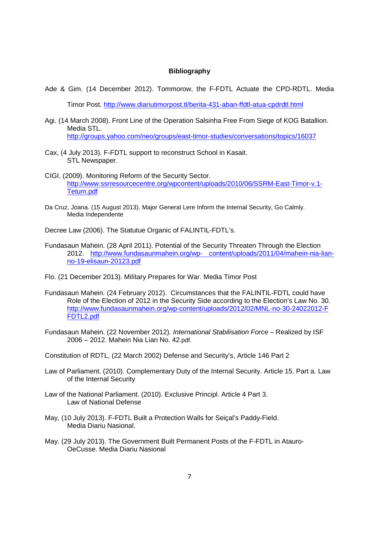#### **Bibliography**

Ade & Gim. (14 December 2012). Tommorow, the F-FDTL Actuate the CPD-RDTL. Media

Timor Post. http://www.diariutimorpost.tl/berita-431-aban-ffdtl-atua-cpdrdtl.html

- Agi. (14 March 2008). Front Line of the Operation Salsinha Free From Siege of KOG Batallion. Media STL. http://groups.yahoo.com/neo/groups/east-timor-studies/conversations/topics/16037
- Cax, (4 July 2013). F-FDTL support to reconstruct School in Kasait. STL Newspaper.
- CIGI. (2009). Monitoring Reform of the Security Sector. http://www.ssrresourcecentre.org/wpcontent/uploads/2010/06/SSRM-East-Timor-v.1- Tetum.pdf
- Da Cruz, Joana. (15 August 2013). Major General Lere Inform the Internal Security, Go Calmly. Media Independente
- Decree Law (2006). The Statutue Organic of FALINTIL-FDTL's.
- Fundasaun Mahein. (28 April 2011). Potential of the Security Threaten Through the Election 2012. http://www.fundasaunmahein.org/wp- content/uploads/2011/04/mahein-nia-lianno-19-elisaun-20123.pdf
- Flo. (21 December 2013). Milítary Prepares for War. Media Timor Post
- Fundasaun Mahein. (24 February 2012). Circumstances that the FALINTIL-FDTL could have Role of the Election of 2012 in the Security Side according to the Election's Law No. 30. http://www.fundasaunmahein.org/wp-content/uploads/2012/02/MNL-no-30-24022012-F FDTL2.pdf
- Fundasaun Mahein. (22 November 2012). *International Stabilisation Force*  Realized by ISF 2006 – 2012. Mahein Nia Lian No. 42.pdf.

Constitution of RDTL, (22 March 2002) Defense and Security's, Article 146 Part 2

- Law of Parliament. (2010). Complementary Duty of the Internal Security. Article 15. Part a. Law of the Internal Security
- Law of the National Parliament. (2010). Exclusive Principl. Article 4 Part 3. Law of National Defense
- May, (10 July 2013). F-FDTL Built a Protection Walls for Seiçal's Paddy-Field. Media Diariu Nasional.
- May. (29 July 2013). The Government Built Permanent Posts of the F-FDTL in Atauro-OeCusse. Media Diariu Nasional